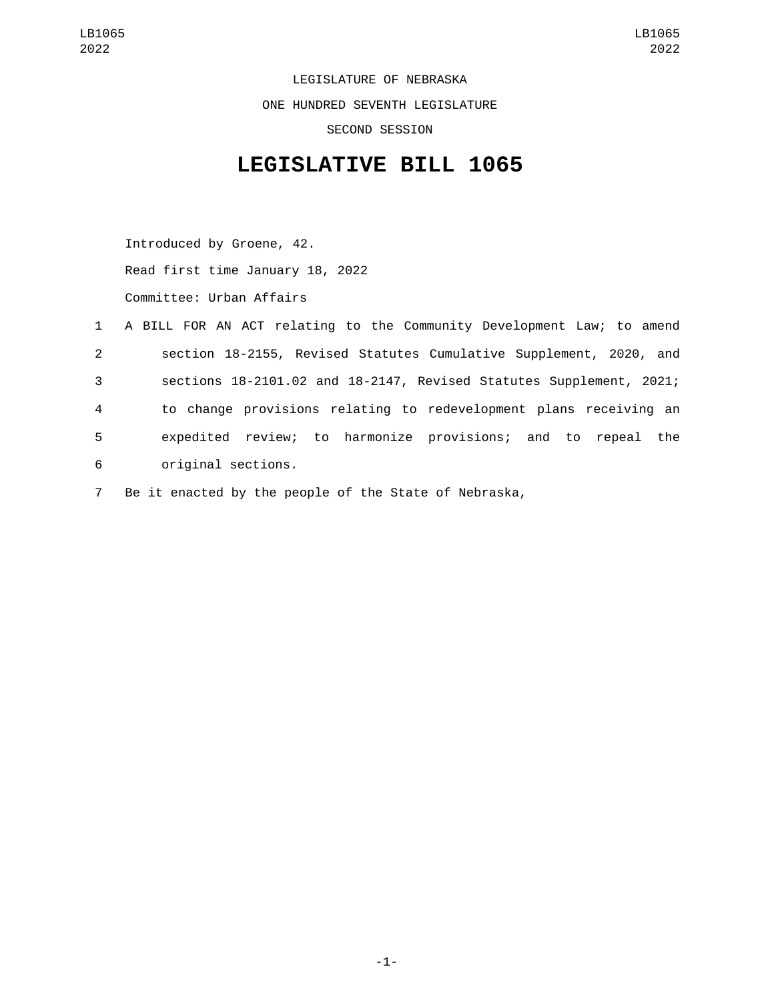LEGISLATURE OF NEBRASKA ONE HUNDRED SEVENTH LEGISLATURE SECOND SESSION

## **LEGISLATIVE BILL 1065**

Introduced by Groene, 42. Read first time January 18, 2022 Committee: Urban Affairs

|              | 1 A BILL FOR AN ACT relating to the Community Development Law; to amend |
|--------------|-------------------------------------------------------------------------|
| $\mathbf{2}$ | section 18-2155, Revised Statutes Cumulative Supplement, 2020, and      |
| 3            | sections 18-2101.02 and 18-2147, Revised Statutes Supplement, 2021;     |
| 4            | to change provisions relating to redevelopment plans receiving an       |
| 5            | expedited review; to harmonize provisions; and to repeal the            |
| 6            | original sections.                                                      |

7 Be it enacted by the people of the State of Nebraska,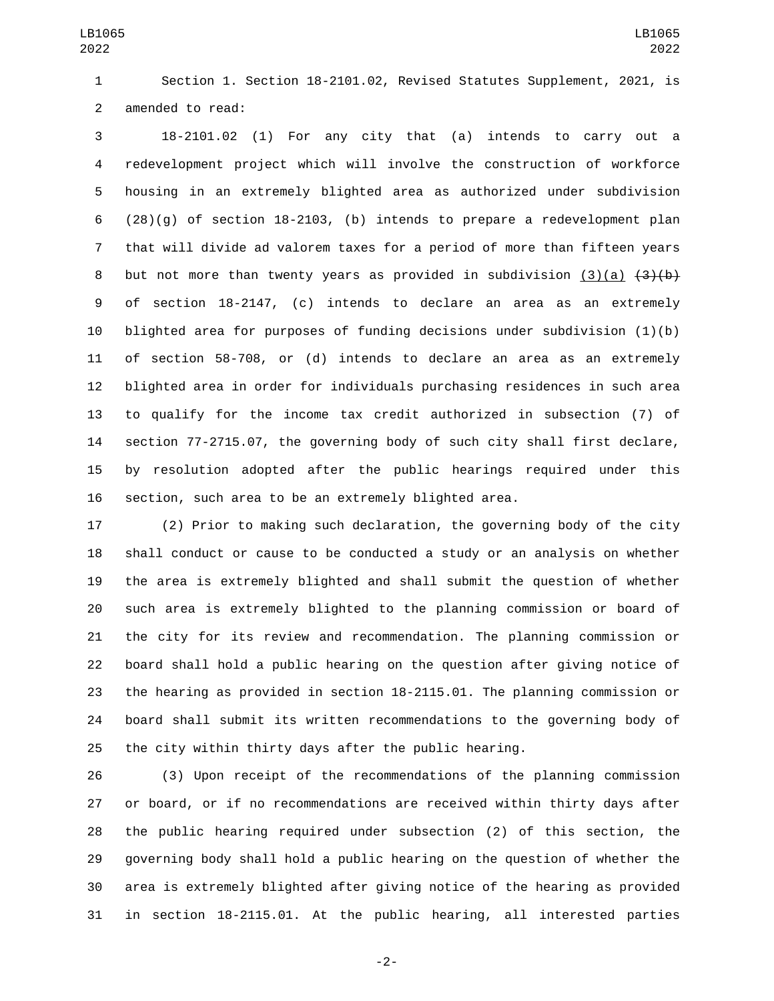Section 1. Section 18-2101.02, Revised Statutes Supplement, 2021, is 2 amended to read:

 18-2101.02 (1) For any city that (a) intends to carry out a redevelopment project which will involve the construction of workforce housing in an extremely blighted area as authorized under subdivision (28)(g) of section 18-2103, (b) intends to prepare a redevelopment plan that will divide ad valorem taxes for a period of more than fifteen years 8 but not more than twenty years as provided in subdivision (3)(a)  $\{3\}$ (b) of section 18-2147, (c) intends to declare an area as an extremely blighted area for purposes of funding decisions under subdivision (1)(b) of section 58-708, or (d) intends to declare an area as an extremely blighted area in order for individuals purchasing residences in such area to qualify for the income tax credit authorized in subsection (7) of section 77-2715.07, the governing body of such city shall first declare, by resolution adopted after the public hearings required under this section, such area to be an extremely blighted area.

 (2) Prior to making such declaration, the governing body of the city shall conduct or cause to be conducted a study or an analysis on whether the area is extremely blighted and shall submit the question of whether such area is extremely blighted to the planning commission or board of the city for its review and recommendation. The planning commission or board shall hold a public hearing on the question after giving notice of the hearing as provided in section 18-2115.01. The planning commission or board shall submit its written recommendations to the governing body of the city within thirty days after the public hearing.

 (3) Upon receipt of the recommendations of the planning commission or board, or if no recommendations are received within thirty days after the public hearing required under subsection (2) of this section, the governing body shall hold a public hearing on the question of whether the area is extremely blighted after giving notice of the hearing as provided in section 18-2115.01. At the public hearing, all interested parties

-2-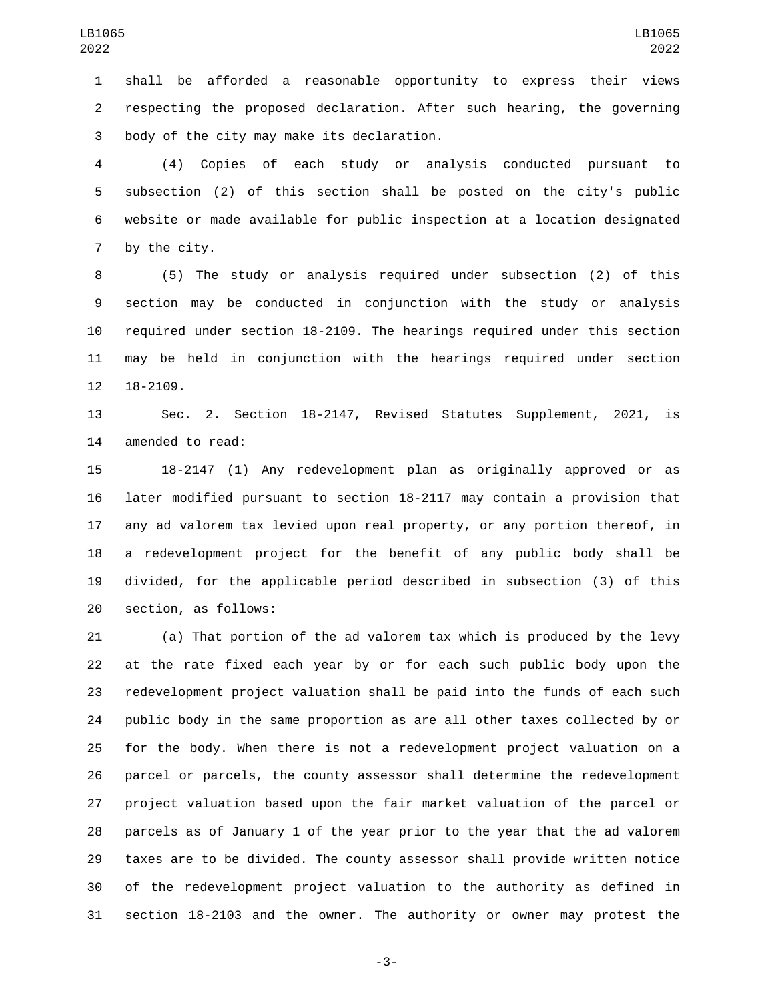shall be afforded a reasonable opportunity to express their views respecting the proposed declaration. After such hearing, the governing body of the city may make its declaration.3

 (4) Copies of each study or analysis conducted pursuant to subsection (2) of this section shall be posted on the city's public website or made available for public inspection at a location designated 7 by the city.

 (5) The study or analysis required under subsection (2) of this section may be conducted in conjunction with the study or analysis required under section 18-2109. The hearings required under this section may be held in conjunction with the hearings required under section 12 18-2109.

 Sec. 2. Section 18-2147, Revised Statutes Supplement, 2021, is 14 amended to read:

 18-2147 (1) Any redevelopment plan as originally approved or as later modified pursuant to section 18-2117 may contain a provision that any ad valorem tax levied upon real property, or any portion thereof, in a redevelopment project for the benefit of any public body shall be divided, for the applicable period described in subsection (3) of this 20 section, as follows:

 (a) That portion of the ad valorem tax which is produced by the levy at the rate fixed each year by or for each such public body upon the redevelopment project valuation shall be paid into the funds of each such public body in the same proportion as are all other taxes collected by or for the body. When there is not a redevelopment project valuation on a parcel or parcels, the county assessor shall determine the redevelopment project valuation based upon the fair market valuation of the parcel or parcels as of January 1 of the year prior to the year that the ad valorem taxes are to be divided. The county assessor shall provide written notice of the redevelopment project valuation to the authority as defined in section 18-2103 and the owner. The authority or owner may protest the

-3-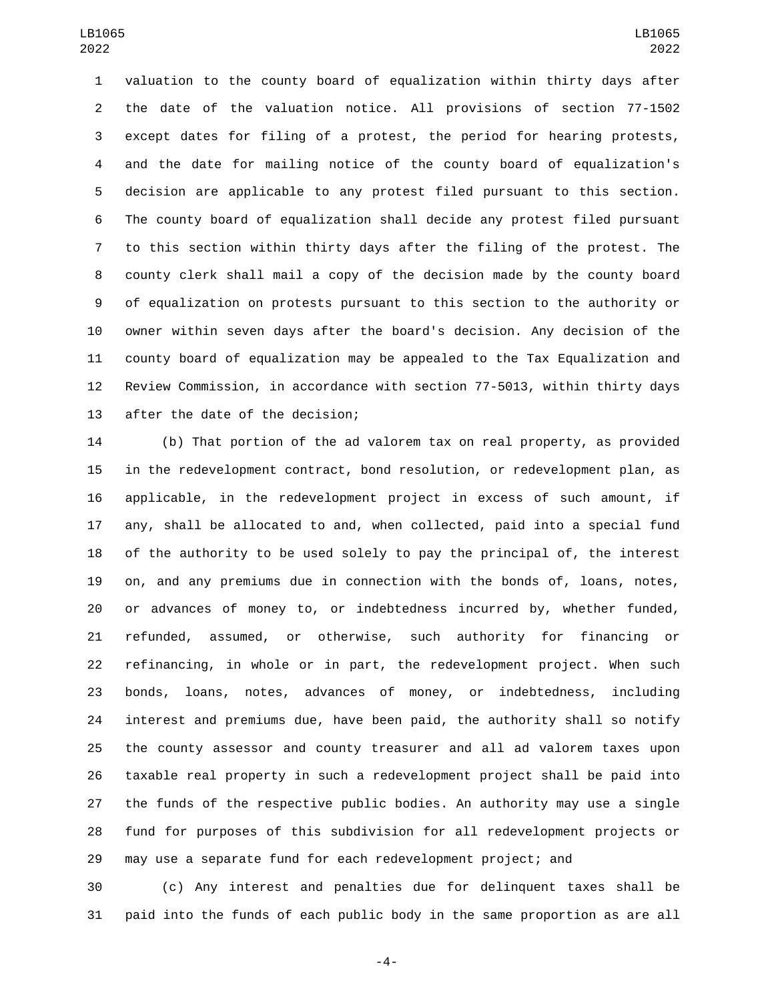valuation to the county board of equalization within thirty days after the date of the valuation notice. All provisions of section 77-1502 except dates for filing of a protest, the period for hearing protests, and the date for mailing notice of the county board of equalization's decision are applicable to any protest filed pursuant to this section. The county board of equalization shall decide any protest filed pursuant to this section within thirty days after the filing of the protest. The county clerk shall mail a copy of the decision made by the county board of equalization on protests pursuant to this section to the authority or owner within seven days after the board's decision. Any decision of the county board of equalization may be appealed to the Tax Equalization and Review Commission, in accordance with section 77-5013, within thirty days 13 after the date of the decision;

 (b) That portion of the ad valorem tax on real property, as provided in the redevelopment contract, bond resolution, or redevelopment plan, as applicable, in the redevelopment project in excess of such amount, if any, shall be allocated to and, when collected, paid into a special fund of the authority to be used solely to pay the principal of, the interest on, and any premiums due in connection with the bonds of, loans, notes, or advances of money to, or indebtedness incurred by, whether funded, refunded, assumed, or otherwise, such authority for financing or refinancing, in whole or in part, the redevelopment project. When such bonds, loans, notes, advances of money, or indebtedness, including interest and premiums due, have been paid, the authority shall so notify the county assessor and county treasurer and all ad valorem taxes upon taxable real property in such a redevelopment project shall be paid into the funds of the respective public bodies. An authority may use a single fund for purposes of this subdivision for all redevelopment projects or may use a separate fund for each redevelopment project; and

 (c) Any interest and penalties due for delinquent taxes shall be paid into the funds of each public body in the same proportion as are all

-4-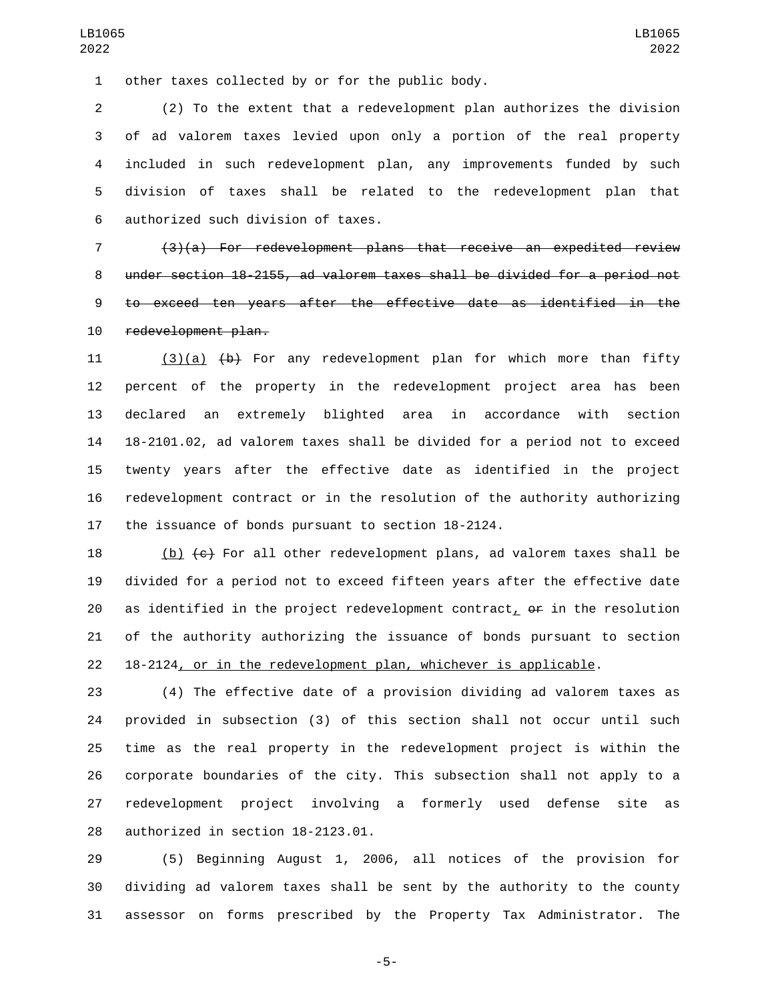other taxes collected by or for the public body.1

 (2) To the extent that a redevelopment plan authorizes the division of ad valorem taxes levied upon only a portion of the real property included in such redevelopment plan, any improvements funded by such division of taxes shall be related to the redevelopment plan that 6 authorized such division of taxes.

 (3)(a) For redevelopment plans that receive an expedited review under section 18-2155, ad valorem taxes shall be divided for a period not to exceed ten years after the effective date as identified in the 10 redevelopment plan.

11 (3)(a) (b) For any redevelopment plan for which more than fifty percent of the property in the redevelopment project area has been declared an extremely blighted area in accordance with section 18-2101.02, ad valorem taxes shall be divided for a period not to exceed twenty years after the effective date as identified in the project redevelopment contract or in the resolution of the authority authorizing the issuance of bonds pursuant to section 18-2124.

18 (b)  $\left\lbrace \epsilon \right\rbrace$  For all other redevelopment plans, ad valorem taxes shall be divided for a period not to exceed fifteen years after the effective date 20 as identified in the project redevelopment contract,  $\theta$  in the resolution of the authority authorizing the issuance of bonds pursuant to section 18-2124, or in the redevelopment plan, whichever is applicable.

 (4) The effective date of a provision dividing ad valorem taxes as provided in subsection (3) of this section shall not occur until such time as the real property in the redevelopment project is within the corporate boundaries of the city. This subsection shall not apply to a redevelopment project involving a formerly used defense site as 28 authorized in section 18-2123.01.

 (5) Beginning August 1, 2006, all notices of the provision for dividing ad valorem taxes shall be sent by the authority to the county assessor on forms prescribed by the Property Tax Administrator. The

-5-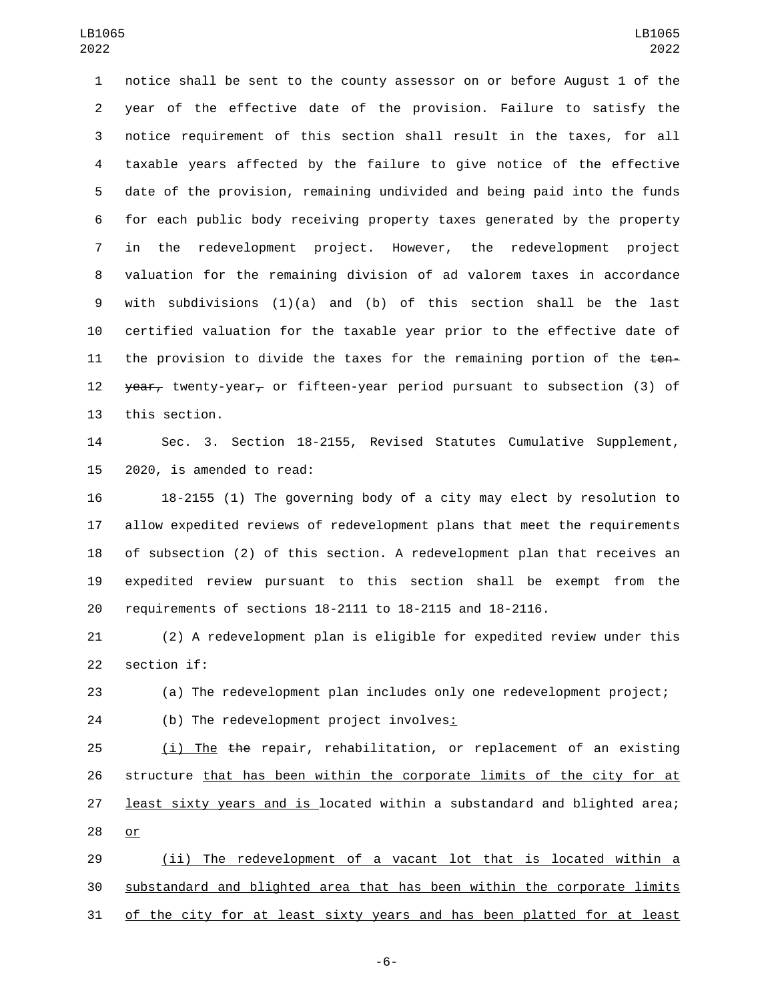notice shall be sent to the county assessor on or before August 1 of the year of the effective date of the provision. Failure to satisfy the notice requirement of this section shall result in the taxes, for all taxable years affected by the failure to give notice of the effective date of the provision, remaining undivided and being paid into the funds for each public body receiving property taxes generated by the property in the redevelopment project. However, the redevelopment project valuation for the remaining division of ad valorem taxes in accordance with subdivisions (1)(a) and (b) of this section shall be the last certified valuation for the taxable year prior to the effective date of 11 the provision to divide the taxes for the remaining portion of the  $t$ en-12 year, twenty-year, or fifteen-year period pursuant to subsection (3) of 13 this section.

 Sec. 3. Section 18-2155, Revised Statutes Cumulative Supplement, 15 2020, is amended to read:

 18-2155 (1) The governing body of a city may elect by resolution to allow expedited reviews of redevelopment plans that meet the requirements of subsection (2) of this section. A redevelopment plan that receives an expedited review pursuant to this section shall be exempt from the requirements of sections 18-2111 to 18-2115 and 18-2116.

 (2) A redevelopment plan is eligible for expedited review under this 22 section if:

(a) The redevelopment plan includes only one redevelopment project;

24 (b) The redevelopment project involves:

25 (i) The the repair, rehabilitation, or replacement of an existing 26 structure that has been within the corporate limits of the city for at 27 least sixty years and is located within a substandard and blighted area; 28 or

 (ii) The redevelopment of a vacant lot that is located within a substandard and blighted area that has been within the corporate limits of the city for at least sixty years and has been platted for at least

-6-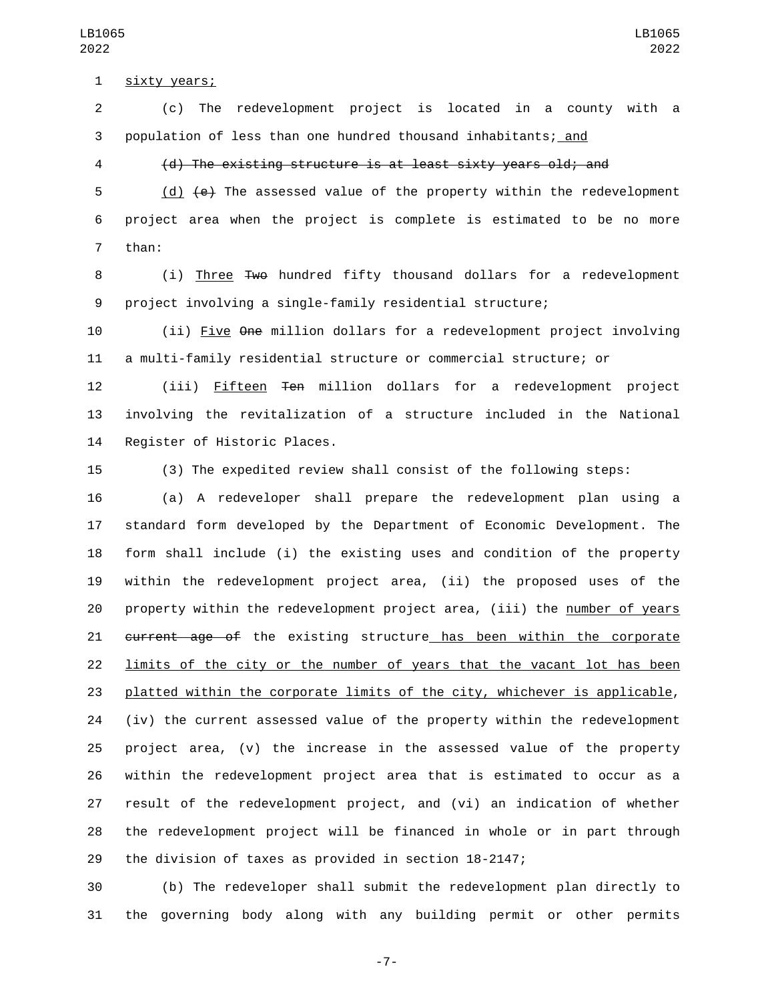1 sixty years;

 (c) The redevelopment project is located in a county with a population of less than one hundred thousand inhabitants; and

## (d) The existing structure is at least sixty years old; and

 (d) (e) The assessed value of the property within the redevelopment project area when the project is complete is estimated to be no more 7 than:

8 (i) Three Two hundred fifty thousand dollars for a redevelopment project involving a single-family residential structure;

 (ii) Five One million dollars for a redevelopment project involving a multi-family residential structure or commercial structure; or

 (iii) Fifteen Ten million dollars for a redevelopment project involving the revitalization of a structure included in the National 14 Register of Historic Places.

(3) The expedited review shall consist of the following steps:

 (a) A redeveloper shall prepare the redevelopment plan using a standard form developed by the Department of Economic Development. The form shall include (i) the existing uses and condition of the property within the redevelopment project area, (ii) the proposed uses of the property within the redevelopment project area, (iii) the number of years 21 current age of the existing structure has been within the corporate limits of the city or the number of years that the vacant lot has been platted within the corporate limits of the city, whichever is applicable, (iv) the current assessed value of the property within the redevelopment project area, (v) the increase in the assessed value of the property within the redevelopment project area that is estimated to occur as a result of the redevelopment project, and (vi) an indication of whether the redevelopment project will be financed in whole or in part through the division of taxes as provided in section 18-2147;

 (b) The redeveloper shall submit the redevelopment plan directly to the governing body along with any building permit or other permits

-7-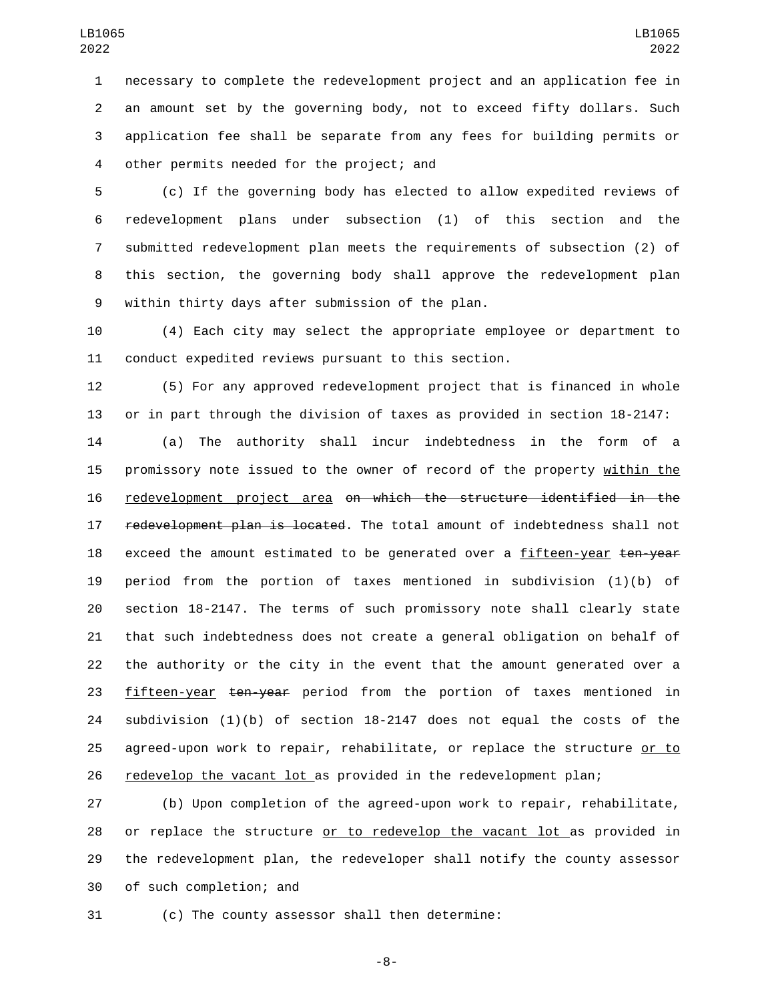necessary to complete the redevelopment project and an application fee in an amount set by the governing body, not to exceed fifty dollars. Such application fee shall be separate from any fees for building permits or 4 other permits needed for the project; and

 (c) If the governing body has elected to allow expedited reviews of redevelopment plans under subsection (1) of this section and the submitted redevelopment plan meets the requirements of subsection (2) of this section, the governing body shall approve the redevelopment plan 9 within thirty days after submission of the plan.

 (4) Each city may select the appropriate employee or department to conduct expedited reviews pursuant to this section.

 (5) For any approved redevelopment project that is financed in whole or in part through the division of taxes as provided in section 18-2147:

 (a) The authority shall incur indebtedness in the form of a 15 promissory note issued to the owner of record of the property within the redevelopment project area on which the structure identified in the 17 redevelopment plan is located. The total amount of indebtedness shall not 18 exceed the amount estimated to be generated over a fifteen-year ten-year period from the portion of taxes mentioned in subdivision (1)(b) of section 18-2147. The terms of such promissory note shall clearly state that such indebtedness does not create a general obligation on behalf of the authority or the city in the event that the amount generated over a 23 fifteen-year ten-year period from the portion of taxes mentioned in subdivision (1)(b) of section 18-2147 does not equal the costs of the 25 agreed-upon work to repair, rehabilitate, or replace the structure or to 26 redevelop the vacant lot as provided in the redevelopment plan;

 (b) Upon completion of the agreed-upon work to repair, rehabilitate, 28 or replace the structure or to redevelop the vacant lot as provided in the redevelopment plan, the redeveloper shall notify the county assessor 30 of such completion; and

(c) The county assessor shall then determine:

-8-